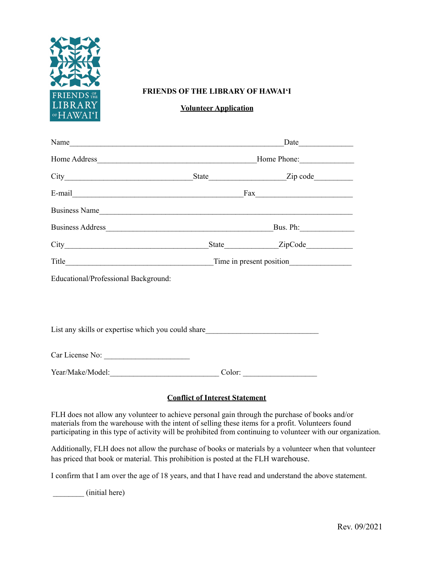

## **FRIENDS OF THE LIBRARY OF HAWAI'I**

## **Volunteer Application**

| Name                                                                                                            | Date |          |  |
|-----------------------------------------------------------------------------------------------------------------|------|----------|--|
|                                                                                                                 |      |          |  |
|                                                                                                                 |      |          |  |
|                                                                                                                 |      |          |  |
| Business Name                                                                                                   |      |          |  |
|                                                                                                                 |      | Bus. Ph: |  |
|                                                                                                                 |      |          |  |
|                                                                                                                 |      |          |  |
| Educational/Professional Background:                                                                            |      |          |  |
|                                                                                                                 |      |          |  |
|                                                                                                                 |      |          |  |
| List any skills or expertise which you could share<br><u>List</u> any skills or expertise which you could share |      |          |  |
|                                                                                                                 |      |          |  |
| Car License No:                                                                                                 |      |          |  |
|                                                                                                                 |      |          |  |

## **Conflict of Interest Statement**

FLH does not allow any volunteer to achieve personal gain through the purchase of books and/or materials from the warehouse with the intent of selling these items for a profit. Volunteers found participating in this type of activity will be prohibited from continuing to volunteer with our organization.

Additionally, FLH does not allow the purchase of books or materials by a volunteer when that volunteer has priced that book or material. This prohibition is posted at the FLH warehouse.

I confirm that I am over the age of 18 years, and that I have read and understand the above statement.

\_\_\_\_\_\_\_\_ (initial here)